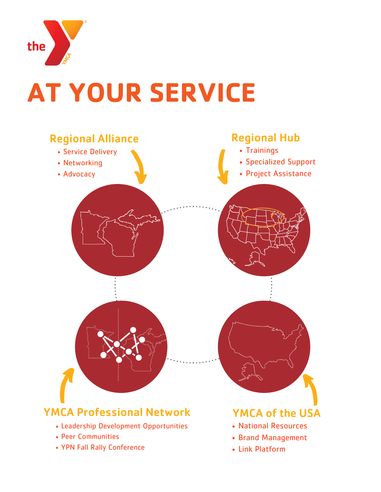

# **AT YOUR SERVICE**

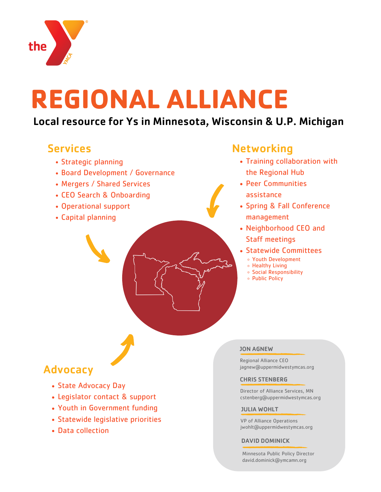

# **REGIONAL ALLIANCE**

## Local resource for Ys in Minnesota, Wisconsin & U.P. Michigan

## Services

- Strategic planning
- Board Development / Governance
- Mergers / Shared Services
- CEO Search & Onboarding
- Operational support
- Capital planning

## **Networking**

- Training collaboration with the Regional Hub
- Peer Communities assistance
- Spring & Fall Conference management
- Neighborhood CEO and Staff meetings
- Statewide Committees
	- Youth Development
	- Healthy Living
	- Social Responsibility
	- Public Policy

## Advocacy

- State Advocacy Day
- Legislator contact & support
- Youth in Government funding
- Statewide legislative priorities
- Data collection

#### JON AGNEW

Regional Alliance CEO jagnew@uppermidwestymcas.org

#### CHRIS STENBERG

Director of Alliance Services, MN cstenberg@uppermidwestymcas.org

#### JULIA WOHLT

VP of Alliance Operations jwohlt@uppermidwestymcas.org

#### DAVID DOMINICK

Minnesota Public Policy Director david.dominick@ymcamn.org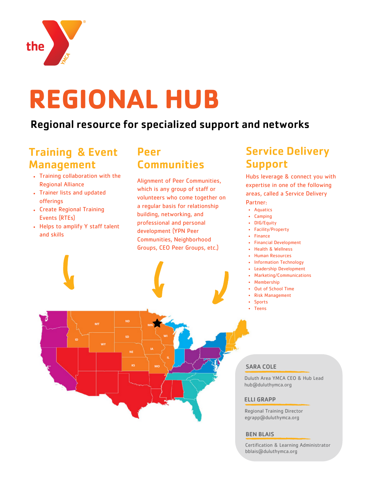

# **REGIONAL HUB**

## Regional resource for specialized support and networks

### Training & Event Management

- Training collaboration with the Regional Alliance
- Trainer lists and updated offerings
- Create Regional Training Events (RTEs)
- Helps to amplify Y staff talent and skills

## Peer **Communities**

Alignment of Peer Communities, which is any group of staff or volunteers who come together on a regular basis for relationship building, networking, and professional and personal development (YPN Peer Communities, Neighborhood Groups, CEO Peer Groups, etc.)

## Service Delivery Support

Hubs leverage & connect you with expertise in one of the following areas, called a Service Delivery Partner:

- Aquatics
- Camping
- DIG/Equity
- Facility/Property
- Finance
- Financial Development
- Health & Wellness
- Human Resources
- Information Technology
- Leadership Development
- Marketing/Communications
- Membership
- Out of School Time
- Risk Management
- Sports
- Teens

#### SARA COLE

Duluth Area YMCA CEO & Hub Lead hub@duluthymca.org

#### ELLI GRAPP

Regional Training Director egrapp@duluthymca.org

#### BEN BLAIS

Certification & Learning Administrator bblais@duluthymca.org

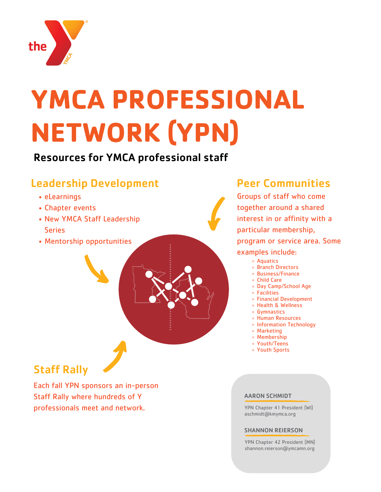

# **YMCA PROFESSIONAL NETWORK (YPN)**

Resources for YMCA professional staff

## Leadership Development

- eLearnings
- Chapter events
- New YMCA Staff Leadership **Series**
- Mentorship opportunities

## Peer Communities

Groups of staff who come together around a shared interest in or affinity with a particular membership, program or service area. Some examples include:

- Aquatics
- Branch Directors
- Business/Finance
- Child Care
- Day Camp/School Age
- Facilities
- Financial Development
- Health & Wellness
- Gymnastics
- Human Resources Information Technology
- 
- Marketing Membership
- Youth/Teens
- Youth Sports

## Staff Rally

Each fall YPN sponsors an in-person Staff Rally where hundreds of Y professionals meet and network.

#### AARON SCHMIDT

YPN Chapter 41 President (WI) aschmidt@kmymca.org

#### SHANNON REIERSON

YPN Chapter 42 President (MN) shannon.reierson@ymcamn.org